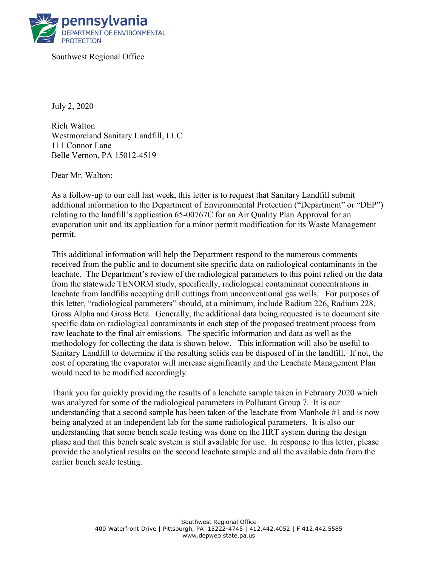

Southwest Regional Office

July 2, 2020

Rich Walton Westmoreland Sanitary Landfill, LLC 111 Connor Lane Belle Vernon, PA 15012-4519

Dear Mr. Walton:

As a follow-up to our call last week, this letter is to request that Sanitary Landfill submit additional information to the Department of Environmental Protection ("Department" or "DEP") relating to the landfill's application 65-00767C for an Air Quality Plan Approval for an evaporation unit and its application for a minor permit modification for its Waste Management permit.

This additional information will help the Department respond to the numerous comments received from the public and to document site specific data on radiological contaminants in the leachate. The Department's review of the radiological parameters to this point relied on the data from the statewide TENORM study, specifically, radiological contaminant concentrations in leachate from landfills accepting drill cuttings from unconventional gas wells. For purposes of this letter, "radiological parameters" should, at a minimum, include Radium 226, Radium 228, Gross Alpha and Gross Beta. Generally, the additional data being requested is to document site specific data on radiological contaminants in each step of the proposed treatment process from raw leachate to the final air emissions. The specific information and data as well as the methodology for collecting the data is shown below. This information will also be useful to Sanitary Landfill to determine if the resulting solids can be disposed of in the landfill. If not, the cost of operating the evaporator will increase significantly and the Leachate Management Plan would need to be modified accordingly.

Thank you for quickly providing the results of a leachate sample taken in February 2020 which was analyzed for some of the radiological parameters in Pollutant Group 7. It is our understanding that a second sample has been taken of the leachate from Manhole #1 and is now being analyzed at an independent lab for the same radiological parameters. It is also our understanding that some bench scale testing was done on the HRT system during the design phase and that this bench scale system is still available for use. In response to this letter, please provide the analytical results on the second leachate sample and all the available data from the earlier bench scale testing.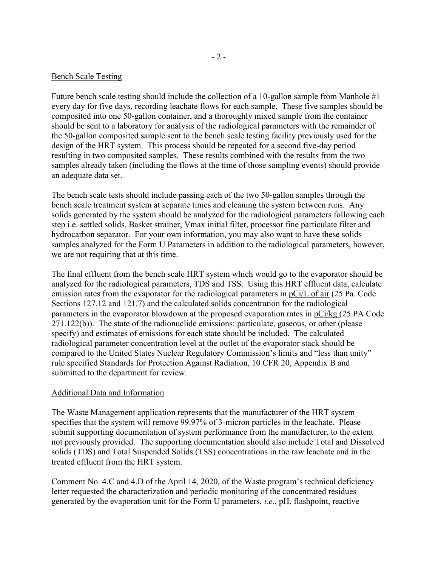## Bench Scale Testing

Future bench scale testing should include the collection of a 10-gallon sample from Manhole #1 every day for five days, recording leachate flows for each sample. These five samples should be composited into one 50-gallon container, and a thoroughly mixed sample from the container should be sent to a laboratory for analysis of the radiological parameters with the remainder of the 50-gallon composited sample sent to the bench scale testing facility previously used for the design of the HRT system. This process should be repeated for a second five-day period resulting in two composited samples. These results combined with the results from the two samples already taken (including the flows at the time of those sampling events) should provide an adequate data set.

The bench scale tests should include passing each of the two 50-gallon samples through the bench scale treatment system at separate times and cleaning the system between runs. Any solids generated by the system should be analyzed for the radiological parameters following each step i.e. settled solids, Basket strainer, Vmax initial filter, processor fine particulate filter and hydrocarbon separator. For your own information, you may also want to have these solids samples analyzed for the Form U Parameters in addition to the radiological parameters, however, we are not requiring that at this time.

The final effluent from the bench scale HRT system which would go to the evaporator should be analyzed for the radiological parameters, TDS and TSS. Using this HRT effluent data, calculate emission rates from the evaporator for the radiological parameters in pCi/L of air (25 Pa. Code Sections 127.12 and 121.7) and the calculated solids concentration for the radiological parameters in the evaporator blowdown at the proposed evaporation rates in pCi/kg (25 PA Code 271.122(b)). The state of the radionuclide emissions: particulate, gaseous, or other (please specify) and estimates of emissions for each state should be included. The calculated radiological parameter concentration level at the outlet of the evaporator stack should be compared to the United States Nuclear Regulatory Commission's limits and "less than unity" rule specified Standards for Protection Against Radiation, 10 CFR 20, Appendix B and submitted to the department for review.

## Additional Data and Information

The Waste Management application represents that the manufacturer of the HRT system specifies that the system will remove 99.97% of 3-micron particles in the leachate. Please submit supporting documentation of system performance from the manufacturer, to the extent not previously provided. The supporting documentation should also include Total and Dissolved solids (TDS) and Total Suspended Solids (TSS) concentrations in the raw leachate and in the treated effluent from the HRT system.

Comment No. 4.C and 4.D of the April 14, 2020, of the Waste program's technical deficiency letter requested the characterization and periodic monitoring of the concentrated residues generated by the evaporation unit for the Form U parameters, i.e., pH, flashpoint, reactive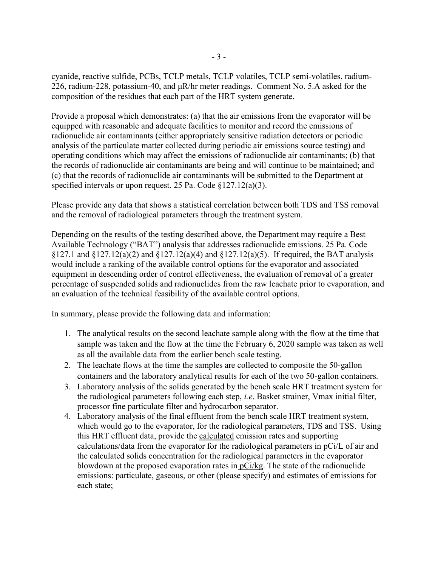cyanide, reactive sulfide, PCBs, TCLP metals, TCLP volatiles, TCLP semi-volatiles, radium-226, radium-228, potassium-40, and μR/hr meter readings. Comment No. 5.A asked for the composition of the residues that each part of the HRT system generate.

Provide a proposal which demonstrates: (a) that the air emissions from the evaporator will be equipped with reasonable and adequate facilities to monitor and record the emissions of radionuclide air contaminants (either appropriately sensitive radiation detectors or periodic analysis of the particulate matter collected during periodic air emissions source testing) and operating conditions which may affect the emissions of radionuclide air contaminants; (b) that the records of radionuclide air contaminants are being and will continue to be maintained; and (c) that the records of radionuclide air contaminants will be submitted to the Department at specified intervals or upon request. 25 Pa. Code §127.12(a)(3).

Please provide any data that shows a statistical correlation between both TDS and TSS removal and the removal of radiological parameters through the treatment system.

Depending on the results of the testing described above, the Department may require a Best Available Technology ("BAT") analysis that addresses radionuclide emissions. 25 Pa. Code  $§127.1$  and  $§127.12(a)(2)$  and  $§127.12(a)(4)$  and  $§127.12(a)(5)$ . If required, the BAT analysis would include a ranking of the available control options for the evaporator and associated equipment in descending order of control effectiveness, the evaluation of removal of a greater percentage of suspended solids and radionuclides from the raw leachate prior to evaporation, and an evaluation of the technical feasibility of the available control options.

In summary, please provide the following data and information:

- 1. The analytical results on the second leachate sample along with the flow at the time that sample was taken and the flow at the time the February 6, 2020 sample was taken as well as all the available data from the earlier bench scale testing.
- 2. The leachate flows at the time the samples are collected to composite the 50-gallon containers and the laboratory analytical results for each of the two 50-gallon containers.
- 3. Laboratory analysis of the solids generated by the bench scale HRT treatment system for the radiological parameters following each step, i.e. Basket strainer, Vmax initial filter, processor fine particulate filter and hydrocarbon separator.
- 4. Laboratory analysis of the final effluent from the bench scale HRT treatment system, which would go to the evaporator, for the radiological parameters, TDS and TSS. Using this HRT effluent data, provide the calculated emission rates and supporting calculations/data from the evaporator for the radiological parameters in pCi/L of air and the calculated solids concentration for the radiological parameters in the evaporator blowdown at the proposed evaporation rates in pCi/kg. The state of the radionuclide emissions: particulate, gaseous, or other (please specify) and estimates of emissions for each state;